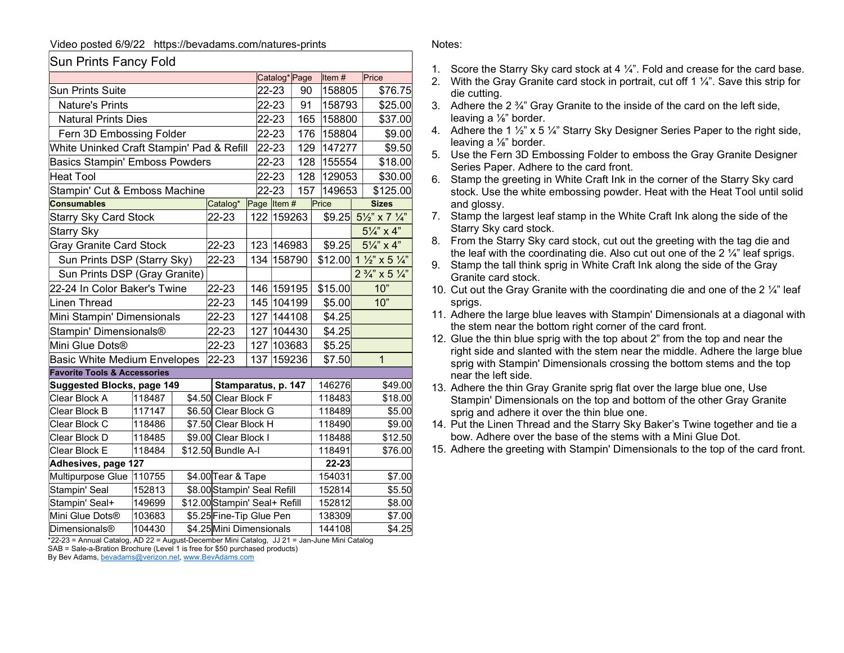## Video posted 6/9/22 https://bevadams.com/natures-prints

## Sun Prints Fancy Fold

|                                           |                                |                          |                               |                     | Catalog <sup>*</sup> Page |        | Item#    |        | Price                                    |
|-------------------------------------------|--------------------------------|--------------------------|-------------------------------|---------------------|---------------------------|--------|----------|--------|------------------------------------------|
| <b>Sun Prints Suite</b>                   |                                |                          | 22-23<br>90                   |                     | 158805                    |        | \$76.75  |        |                                          |
| Nature's Prints                           |                                |                          | 22-23<br>91                   |                     | 158793                    |        | \$25.00  |        |                                          |
| <b>Natural Prints Dies</b>                |                                |                          | 22-23<br>165                  |                     | 158800                    |        | \$37.00  |        |                                          |
| Fern 3D Embossing Folder                  |                                |                          | 176<br>22-23                  |                     | 158804                    |        | \$9.00   |        |                                          |
| White Uninked Craft Stampin' Pad & Refill |                                |                          | 22-23                         |                     | 129<br>147277             |        | \$9.50   |        |                                          |
| <b>Basics Stampin' Emboss Powders</b>     |                                |                          | 128<br>22-23                  |                     | 155554                    |        | \$18.00  |        |                                          |
| <b>Heat Tool</b>                          |                                |                          | 128<br>22-23                  |                     | 129053                    |        | \$30.00  |        |                                          |
| Stampin' Cut & Emboss Machine             |                                |                          | 22-23                         | 157                 | 149653                    |        | \$125.00 |        |                                          |
| <b>Consumables</b>                        |                                |                          | Catalog*                      | Page Item#          |                           |        | Price    |        | <b>Sizes</b>                             |
| <b>Starry Sky Card Stock</b>              |                                |                          | 22-23                         |                     | 122 159263                |        |          |        | $$9.25$ $5\frac{1}{2}$ x 7 $\frac{1}{4}$ |
| Starry Sky                                |                                |                          |                               |                     |                           |        |          |        | $5\frac{1}{4}$ " x 4"                    |
|                                           | <b>Gray Granite Card Stock</b> |                          | 22-23                         |                     | 123 146983                |        | \$9.25   |        | $5\frac{1}{4}$ " x 4"                    |
|                                           | Sun Prints DSP (Starry Sky)    |                          | 22-23                         |                     | 134 158790                |        |          |        | $$12.00$ 1 1/2" x 5 1/4"                 |
| Sun Prints DSP (Gray Granite)             |                                |                          |                               |                     |                           |        |          |        | $2\frac{3}{4}$ " x 5 $\frac{1}{4}$ "     |
| 22-24 In Color Baker's Twine              |                                |                          | 22-23                         |                     | 146 159195                |        | \$15.00  |        | 10"                                      |
| <b>Linen Thread</b>                       |                                |                          | 22-23                         |                     | 145 104199                |        | \$5.00   |        | 10"                                      |
| Mini Stampin' Dimensionals                |                                |                          | 22-23                         | 127                 | 144108                    |        | \$4.25   |        |                                          |
| Stampin' Dimensionals®                    |                                |                          | 22-23                         |                     | 127 104430                |        | \$4.25   |        |                                          |
| Mini Glue Dots®                           |                                |                          | 22-23                         | 127                 | 103683                    |        | \$5.25   |        |                                          |
| <b>Basic White Medium Envelopes</b>       |                                |                          | 22-23                         | 137                 | 159236                    |        | \$7.50   |        | $\overline{1}$                           |
| <b>Favorite Tools &amp; Accessories</b>   |                                |                          |                               |                     |                           |        |          |        |                                          |
| <b>Suggested Blocks, page 149</b>         |                                |                          |                               | Stamparatus, p. 147 |                           |        |          | 146276 | \$49.00                                  |
| Clear Block A                             | 118487                         |                          | \$4.50 Clear Block F          |                     |                           |        | 118483   |        | \$18.00                                  |
| Clear Block B                             | 117147                         |                          | \$6.50 Clear Block G          |                     |                           |        | 118489   |        | \$5.00                                   |
| Clear Block C                             | 118486                         |                          | \$7.50 Clear Block H          |                     |                           |        | 118490   |        | \$9.00                                   |
| Clear Block D                             | 118485                         |                          | \$9.00 Clear Block I          |                     |                           |        | 118488   |        | \$12.50                                  |
| Clear Block E                             | 118484                         |                          |                               | \$12.50 Bundle A-I  |                           |        | 118491   |        | \$76.00                                  |
| Adhesives, page 127                       |                                |                          |                               |                     |                           |        | 22-23    |        |                                          |
| Multipurpose Glue                         | 110755                         |                          | \$4.00 Tear & Tape            |                     |                           |        | 154031   |        | \$7.00                                   |
| Stampin' Seal                             | 152813                         |                          | \$8.00 Stampin' Seal Refill   |                     |                           |        | 152814   |        | \$5.50                                   |
| Stampin' Seal+                            | 149699                         |                          | \$12.00 Stampin' Seal+ Refill |                     |                           | 152812 |          | \$8.00 |                                          |
| Mini Glue Dots®                           | 103683                         |                          | \$5.25 Fine-Tip Glue Pen      |                     |                           |        | 138309   |        | \$7.00                                   |
| <b>Dimensionals®</b>                      | 104430                         | \$4.25 Mini Dimensionals |                               |                     |                           |        | 144108   |        | \$4.25                                   |

\*22-23 = Annual Catalog, AD 22 = August-December Mini Catalog, JJ 21 = Jan-June Mini Catalog

SAB = Sale-a-Bration Brochure (Level 1 is free for \$50 purchased products)

By Bev Adams, bevadams@verizon.net, www.BevAdams.com

## Notes:

- 1. Score the Starry Sky card stock at 4 ¼". Fold and crease for the card base.
- 2. With the Gray Granite card stock in portrait, cut off 1  $\frac{1}{4}$ ". Save this strip for die cutting.
- 3. Adhere the 2 ¾" Gray Granite to the inside of the card on the left side, leaving a ⅛" border.
- 4. Adhere the 1 ½" x 5 ¼" Starry Sky Designer Series Paper to the right side, leaving a ⅛" border.
- 5. Use the Fern 3D Embossing Folder to emboss the Gray Granite Designer Series Paper. Adhere to the card front.
- 6. Stamp the greeting in White Craft Ink in the corner of the Starry Sky card stock. Use the white embossing powder. Heat with the Heat Tool until solid and glossy.
- 7. Stamp the largest leaf stamp in the White Craft Ink along the side of the Starry Sky card stock.
- 8. From the Starry Sky card stock, cut out the greeting with the tag die and the leaf with the coordinating die. Also cut out one of the  $2\frac{1}{4}$ " leaf sprigs.
- 9. Stamp the tall think sprig in White Craft Ink along the side of the Gray Granite card stock.
- 10. Cut out the Gray Granite with the coordinating die and one of the 2  $\frac{1}{4}$ " leaf sprigs.
- 11. Adhere the large blue leaves with Stampin' Dimensionals at a diagonal with the stem near the bottom right corner of the card front.
- 12. Glue the thin blue sprig with the top about 2" from the top and near the right side and slanted with the stem near the middle. Adhere the large blue sprig with Stampin' Dimensionals crossing the bottom stems and the top near the left side.
- 13. Adhere the thin Gray Granite sprig flat over the large blue one, Use Stampin' Dimensionals on the top and bottom of the other Gray Granite sprig and adhere it over the thin blue one.
- 14. Put the Linen Thread and the Starry Sky Baker's Twine together and tie a bow. Adhere over the base of the stems with a Mini Glue Dot.
- 15. Adhere the greeting with Stampin' Dimensionals to the top of the card front.